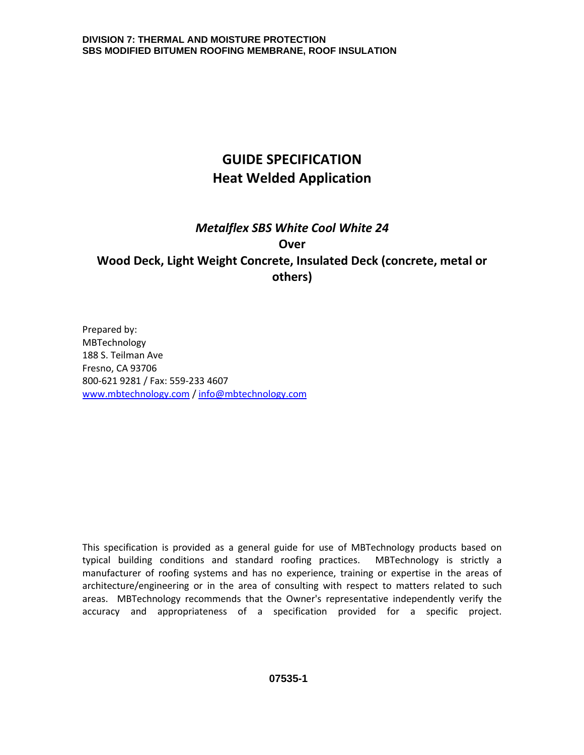# **GUIDE SPECIFICATION Heat Welded Application**

# *Metalflex SBS White Cool White 24*  **Over Wood Deck, Light Weight Concrete, Insulated Deck (concrete, metal or others)**

Prepared by: MBTechnology 188 S. Teilman Ave Fresno, CA 93706 800-621 9281 / Fax: 559-233 4607 [www.mbtechnology.com](http://www.mbtechnology.com/) / [info@mbtechnology.com](mailto:info@mbtechnology.com)

This specification is provided as a general guide for use of MBTechnology products based on typical building conditions and standard roofing practices. MBTechnology is strictly a manufacturer of roofing systems and has no experience, training or expertise in the areas of architecture/engineering or in the area of consulting with respect to matters related to such areas. MBTechnology recommends that the Owner's representative independently verify the accuracy and appropriateness of a specification provided for a specific project.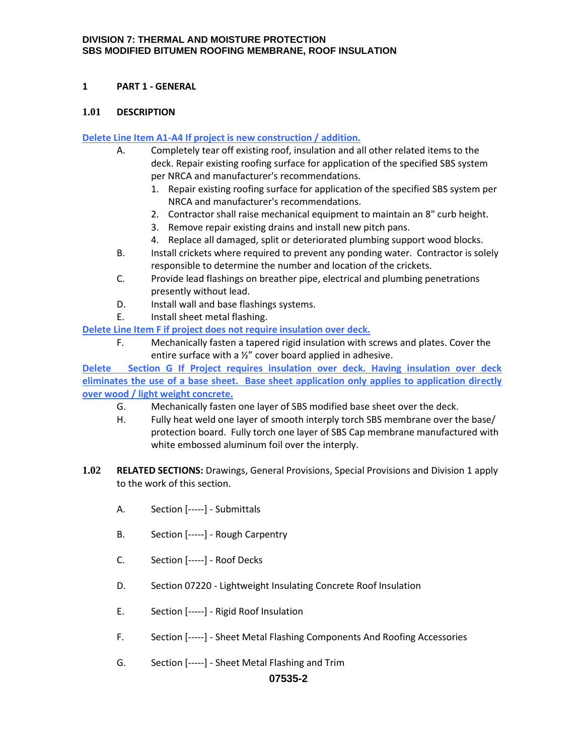## **1 PART 1 - GENERAL**

#### **1.01 DESCRIPTION**

#### **Delete Line Item A1-A4 If project is new construction / addition.**

- A. Completely tear off existing roof, insulation and all other related items to the deck. Repair existing roofing surface for application of the specified SBS system per NRCA and manufacturer's recommendations.
	- 1. Repair existing roofing surface for application of the specified SBS system per NRCA and manufacturer's recommendations.
	- 2. Contractor shall raise mechanical equipment to maintain an 8" curb height.
	- 3. Remove repair existing drains and install new pitch pans.
	- 4. Replace all damaged, split or deteriorated plumbing support wood blocks.
- B. Install crickets where required to prevent any ponding water. Contractor is solely responsible to determine the number and location of the crickets.
- C. Provide lead flashings on breather pipe, electrical and plumbing penetrations presently without lead.
- D. Install wall and base flashings systems.
- E. Install sheet metal flashing.

**Delete Line Item F if project does not require insulation over deck.**

F. Mechanically fasten a tapered rigid insulation with screws and plates. Cover the entire surface with a ½" cover board applied in adhesive.

**Delete Section G If Project requires insulation over deck. Having insulation over deck eliminates the use of a base sheet. Base sheet application only applies to application directly over wood / light weight concrete.**

- G. Mechanically fasten one layer of SBS modified base sheet over the deck.
- H. Fully heat weld one layer of smooth interply torch SBS membrane over the base/ protection board. Fully torch one layer of SBS Cap membrane manufactured with white embossed aluminum foil over the interply.
- **1.02 RELATED SECTIONS:** Drawings, General Provisions, Special Provisions and Division 1 apply to the work of this section.
	- A. Section [-----] Submittals
	- B. Section [-----] Rough Carpentry
	- C. Section [-----] Roof Decks
	- D. Section 07220 Lightweight Insulating Concrete Roof Insulation
	- E. Section [-----] Rigid Roof Insulation
	- F. Section [-----] Sheet Metal Flashing Components And Roofing Accessories
	- G. Section [-----] Sheet Metal Flashing and Trim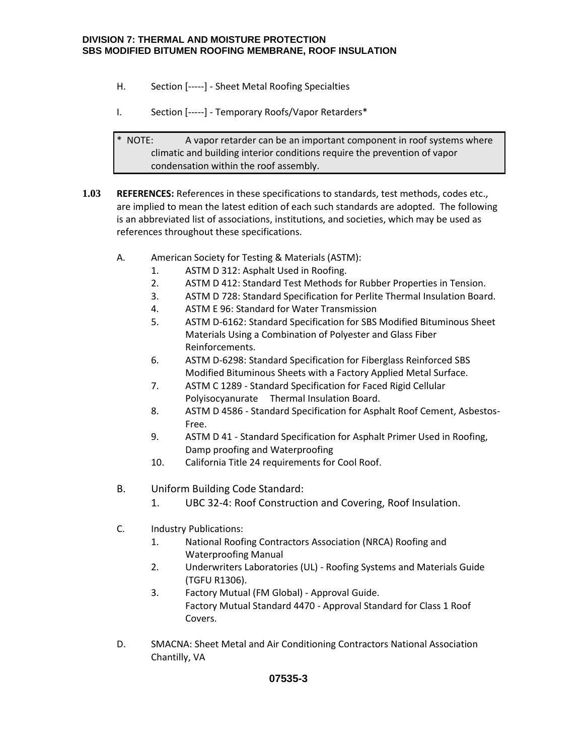- H. Section [-----] Sheet Metal Roofing Specialties
- I. Section [-----] Temporary Roofs/Vapor Retarders\*

\* NOTE: A vapor retarder can be an important component in roof systems where climatic and building interior conditions require the prevention of vapor condensation within the roof assembly.

- **1.03 REFERENCES:** References in these specifications to standards, test methods, codes etc., are implied to mean the latest edition of each such standards are adopted. The following is an abbreviated list of associations, institutions, and societies, which may be used as references throughout these specifications.
	- A. American Society for Testing & Materials (ASTM):
		- 1. ASTM D 312: Asphalt Used in Roofing.
		- 2. ASTM D 412: Standard Test Methods for Rubber Properties in Tension.
		- 3. ASTM D 728: Standard Specification for Perlite Thermal Insulation Board.
		- 4. ASTM E 96: Standard for Water Transmission
		- 5. ASTM D-6162: Standard Specification for SBS Modified Bituminous Sheet Materials Using a Combination of Polyester and Glass Fiber Reinforcements.
		- 6. ASTM D-6298: Standard Specification for Fiberglass Reinforced SBS Modified Bituminous Sheets with a Factory Applied Metal Surface.
		- 7. ASTM C 1289 Standard Specification for Faced Rigid Cellular Polyisocyanurate Thermal Insulation Board.
		- 8. ASTM D 4586 Standard Specification for Asphalt Roof Cement, Asbestos-Free.
		- 9. ASTM D 41 Standard Specification for Asphalt Primer Used in Roofing, Damp proofing and Waterproofing
		- 10. California Title 24 requirements for Cool Roof.
	- B. Uniform Building Code Standard:
		- 1. UBC 32-4: Roof Construction and Covering, Roof Insulation.
	- C. Industry Publications:
		- 1. National Roofing Contractors Association (NRCA) Roofing and Waterproofing Manual
		- 2. Underwriters Laboratories (UL) Roofing Systems and Materials Guide (TGFU R1306).
		- 3. Factory Mutual (FM Global) Approval Guide. Factory Mutual Standard 4470 - Approval Standard for Class 1 Roof Covers.
	- D. SMACNA: Sheet Metal and Air Conditioning Contractors National Association Chantilly, VA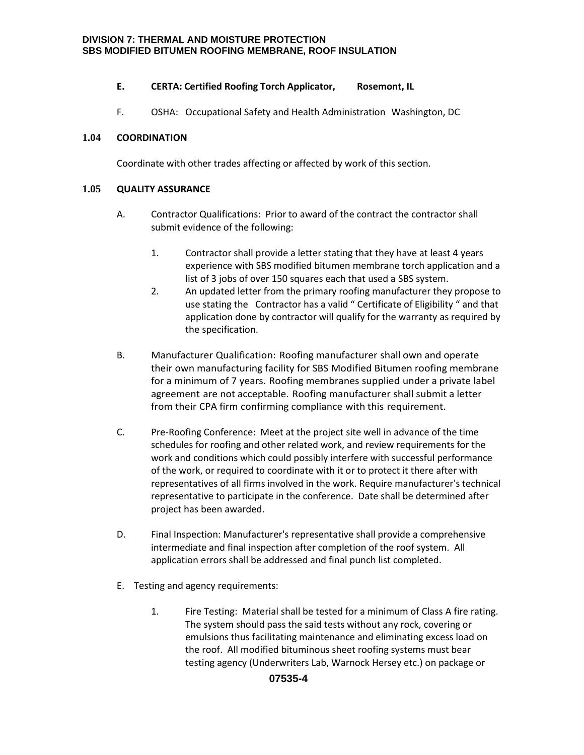## **E. CERTA: Certified Roofing Torch Applicator, Rosemont, IL**

F. OSHA: Occupational Safety and Health Administration Washington, DC

## **1.04 COORDINATION**

Coordinate with other trades affecting or affected by work of this section.

## **1.05 QUALITY ASSURANCE**

- A. Contractor Qualifications: Prior to award of the contract the contractor shall submit evidence of the following:
	- 1. Contractor shall provide a letter stating that they have at least 4 years experience with SBS modified bitumen membrane torch application and a list of 3 jobs of over 150 squares each that used a SBS system.
	- 2. An updated letter from the primary roofing manufacturer they propose to use stating the Contractor has a valid " Certificate of Eligibility " and that application done by contractor will qualify for the warranty as required by the specification.
- B. Manufacturer Qualification: Roofing manufacturer shall own and operate their own manufacturing facility for SBS Modified Bitumen roofing membrane for a minimum of 7 years. Roofing membranes supplied under a private label agreement are not acceptable. Roofing manufacturer shall submit a letter from their CPA firm confirming compliance with this requirement.
- C. Pre-Roofing Conference: Meet at the project site well in advance of the time schedules for roofing and other related work, and review requirements for the work and conditions which could possibly interfere with successful performance of the work, or required to coordinate with it or to protect it there after with representatives of all firms involved in the work. Require manufacturer's technical representative to participate in the conference. Date shall be determined after project has been awarded.
- D. Final Inspection: Manufacturer's representative shall provide a comprehensive intermediate and final inspection after completion of the roof system. All application errors shall be addressed and final punch list completed.
- E. Testing and agency requirements:
	- 1. Fire Testing: Material shall be tested for a minimum of Class A fire rating. The system should pass the said tests without any rock, covering or emulsions thus facilitating maintenance and eliminating excess load on the roof. All modified bituminous sheet roofing systems must bear testing agency (Underwriters Lab, Warnock Hersey etc.) on package or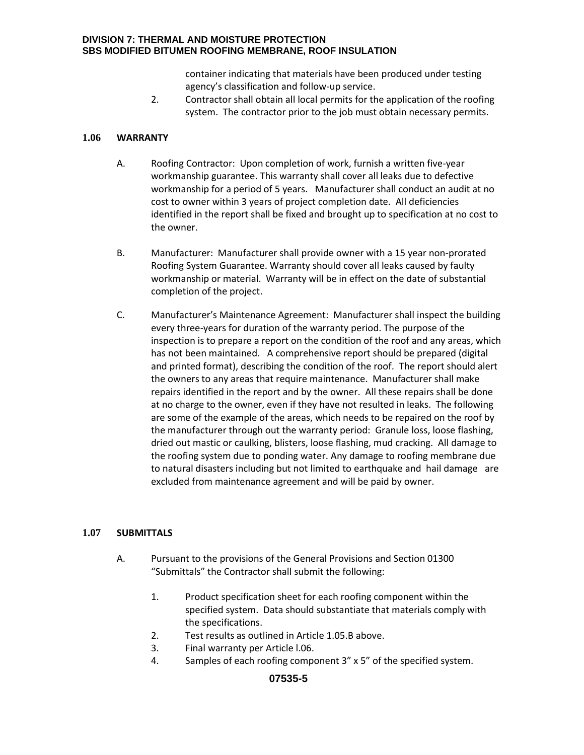container indicating that materials have been produced under testing agency's classification and follow-up service.

2. Contractor shall obtain all local permits for the application of the roofing system. The contractor prior to the job must obtain necessary permits.

## **1.06 WARRANTY**

- A. Roofing Contractor: Upon completion of work, furnish a written five-year workmanship guarantee. This warranty shall cover all leaks due to defective workmanship for a period of 5 years. Manufacturer shall conduct an audit at no cost to owner within 3 years of project completion date. All deficiencies identified in the report shall be fixed and brought up to specification at no cost to the owner.
- B. Manufacturer: Manufacturer shall provide owner with a 15 year non-prorated Roofing System Guarantee. Warranty should cover all leaks caused by faulty workmanship or material. Warranty will be in effect on the date of substantial completion of the project.
- C. Manufacturer's Maintenance Agreement: Manufacturer shall inspect the building every three-years for duration of the warranty period. The purpose of the inspection is to prepare a report on the condition of the roof and any areas, which has not been maintained. A comprehensive report should be prepared (digital and printed format), describing the condition of the roof. The report should alert the owners to any areas that require maintenance. Manufacturer shall make repairs identified in the report and by the owner. All these repairs shall be done at no charge to the owner, even if they have not resulted in leaks. The following are some of the example of the areas, which needs to be repaired on the roof by the manufacturer through out the warranty period: Granule loss, loose flashing, dried out mastic or caulking, blisters, loose flashing, mud cracking. All damage to the roofing system due to ponding water. Any damage to roofing membrane due to natural disasters including but not limited to earthquake and hail damage are excluded from maintenance agreement and will be paid by owner.

## **1.07 SUBMITTALS**

- A. Pursuant to the provisions of the General Provisions and Section 01300 "Submittals" the Contractor shall submit the following:
	- 1. Product specification sheet for each roofing component within the specified system. Data should substantiate that materials comply with the specifications.
	- 2. Test results as outlined in Article 1.05.B above.
	- 3. Final warranty per Article l.06.
	- 4. Samples of each roofing component 3" x 5" of the specified system.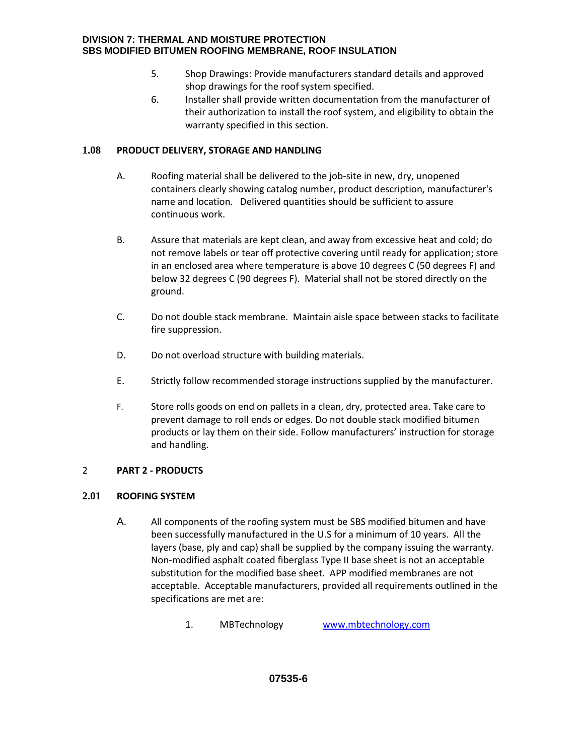- 5. Shop Drawings: Provide manufacturers standard details and approved shop drawings for the roof system specified.
- 6. Installer shall provide written documentation from the manufacturer of their authorization to install the roof system, and eligibility to obtain the warranty specified in this section.

# **1.08 PRODUCT DELIVERY, STORAGE AND HANDLING**

- A. Roofing material shall be delivered to the job-site in new, dry, unopened containers clearly showing catalog number, product description, manufacturer's name and location. Delivered quantities should be sufficient to assure continuous work.
- B. Assure that materials are kept clean, and away from excessive heat and cold; do not remove labels or tear off protective covering until ready for application; store in an enclosed area where temperature is above 10 degrees C (50 degrees F) and below 32 degrees C (90 degrees F). Material shall not be stored directly on the ground.
- C. Do not double stack membrane. Maintain aisle space between stacks to facilitate fire suppression.
- D. Do not overload structure with building materials.
- E. Strictly follow recommended storage instructions supplied by the manufacturer.
- F. Store rolls goods on end on pallets in a clean, dry, protected area. Take care to prevent damage to roll ends or edges. Do not double stack modified bitumen products or lay them on their side. Follow manufacturers' instruction for storage and handling.

# 2 **PART 2 - PRODUCTS**

# **2.01 ROOFING SYSTEM**

- A. All components of the roofing system must be SBS modified bitumen and have been successfully manufactured in the U.S for a minimum of 10 years. All the layers (base, ply and cap) shall be supplied by the company issuing the warranty. Non-modified asphalt coated fiberglass Type II base sheet is not an acceptable substitution for the modified base sheet. APP modified membranes are not acceptable. Acceptable manufacturers, provided all requirements outlined in the specifications are met are:
	- 1. MBTechnology [www.mbtechnology.com](http://www.mbtechnology.com/)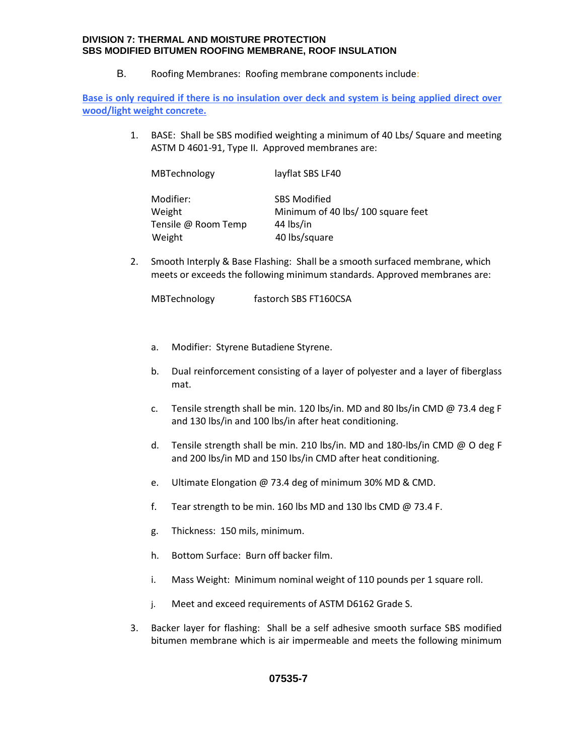B. Roofing Membranes: Roofing membrane components include:

**Base is only required if there is no insulation over deck and system is being applied direct over wood/light weight concrete.** 

> 1. BASE: Shall be SBS modified weighting a minimum of 40 Lbs/ Square and meeting ASTM D 4601-91, Type II. Approved membranes are:

| MBTechnology        | layflat SBS LF40                   |
|---------------------|------------------------------------|
| Modifier:           | <b>SBS Modified</b>                |
| Weight              | Minimum of 40 lbs/ 100 square feet |
| Tensile @ Room Temp | 44 lbs/in                          |
| Weight              | 40 lbs/square                      |

2. Smooth Interply & Base Flashing: Shall be a smooth surfaced membrane, which meets or exceeds the following minimum standards. Approved membranes are:

MBTechnology fastorch SBS FT160CSA

- a. Modifier: Styrene Butadiene Styrene.
- b. Dual reinforcement consisting of a layer of polyester and a layer of fiberglass mat.
- c. Tensile strength shall be min. 120 lbs/in. MD and 80 lbs/in CMD @ 73.4 deg F and 130 lbs/in and 100 lbs/in after heat conditioning.
- d. Tensile strength shall be min. 210 lbs/in. MD and 180-lbs/in CMD @ O deg F and 200 lbs/in MD and 150 lbs/in CMD after heat conditioning.
- e. Ultimate Elongation @ 73.4 deg of minimum 30% MD & CMD.
- f. Tear strength to be min. 160 lbs MD and 130 lbs CMD @ 73.4 F.
- g. Thickness: 150 mils, minimum.
- h. Bottom Surface: Burn off backer film.
- i. Mass Weight: Minimum nominal weight of 110 pounds per 1 square roll.
- j. Meet and exceed requirements of ASTM D6162 Grade S.
- 3. Backer layer for flashing: Shall be a self adhesive smooth surface SBS modified bitumen membrane which is air impermeable and meets the following minimum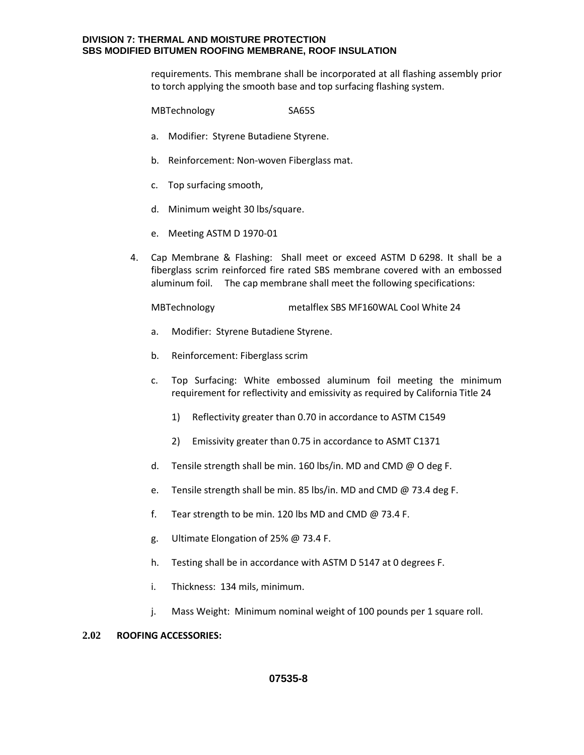requirements. This membrane shall be incorporated at all flashing assembly prior to torch applying the smooth base and top surfacing flashing system.

MBTechnology SA65S

- a. Modifier: Styrene Butadiene Styrene.
- b. Reinforcement: Non-woven Fiberglass mat.
- c. Top surfacing smooth,
- d. Minimum weight 30 lbs/square.
- e. Meeting ASTM D 1970-01
- 4. Cap Membrane & Flashing: Shall meet or exceed ASTM D 6298. It shall be a fiberglass scrim reinforced fire rated SBS membrane covered with an embossed aluminum foil. The cap membrane shall meet the following specifications:

MBTechnology metalflex SBS MF160WAL Cool White 24

- a. Modifier: Styrene Butadiene Styrene.
- b. Reinforcement: Fiberglass scrim
- c. Top Surfacing: White embossed aluminum foil meeting the minimum requirement for reflectivity and emissivity as required by California Title 24
	- 1) Reflectivity greater than 0.70 in accordance to ASTM C1549
	- 2) Emissivity greater than 0.75 in accordance to ASMT C1371
- d. Tensile strength shall be min. 160 lbs/in. MD and CMD @ O deg F.
- e. Tensile strength shall be min. 85 lbs/in. MD and CMD @ 73.4 deg F.
- f. Tear strength to be min. 120 lbs MD and CMD @ 73.4 F.
- g. Ultimate Elongation of 25% @ 73.4 F.
- h. Testing shall be in accordance with ASTM D 5147 at 0 degrees F.
- i. Thickness: 134 mils, minimum.
- j. Mass Weight: Minimum nominal weight of 100 pounds per 1 square roll.

## **2.02 ROOFING ACCESSORIES:**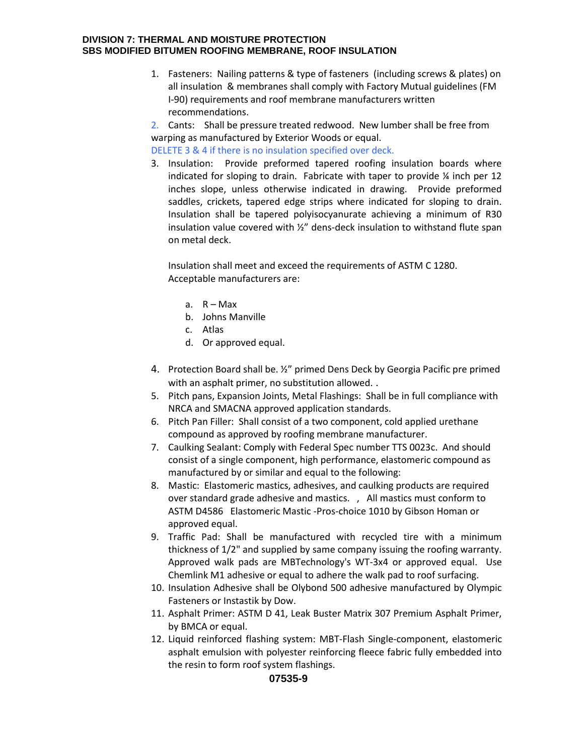- 1. Fasteners: Nailing patterns & type of fasteners (including screws & plates) on all insulation & membranes shall comply with Factory Mutual guidelines (FM I-90) requirements and roof membrane manufacturers written recommendations.
- 2. Cants: Shall be pressure treated redwood. New lumber shall be free from warping as manufactured by Exterior Woods or equal.

DELETE 3 & 4 if there is no insulation specified over deck.

3. Insulation: Provide preformed tapered roofing insulation boards where indicated for sloping to drain. Fabricate with taper to provide ¼ inch per 12 inches slope, unless otherwise indicated in drawing. Provide preformed saddles, crickets, tapered edge strips where indicated for sloping to drain. Insulation shall be tapered polyisocyanurate achieving a minimum of R30 insulation value covered with ½" dens-deck insulation to withstand flute span on metal deck.

Insulation shall meet and exceed the requirements of ASTM C 1280. Acceptable manufacturers are:

- a.  $R Max$
- b. Johns Manville
- c. Atlas
- d. Or approved equal.
- 4. Protection Board shall be. ½" primed Dens Deck by Georgia Pacific pre primed with an asphalt primer, no substitution allowed..
- 5. Pitch pans, Expansion Joints, Metal Flashings: Shall be in full compliance with NRCA and SMACNA approved application standards.
- 6. Pitch Pan Filler: Shall consist of a two component, cold applied urethane compound as approved by roofing membrane manufacturer.
- 7. Caulking Sealant: Comply with Federal Spec number TTS 0023c. And should consist of a single component, high performance, elastomeric compound as manufactured by or similar and equal to the following:
- 8. Mastic: Elastomeric mastics, adhesives, and caulking products are required over standard grade adhesive and mastics. , All mastics must conform to ASTM D4586 Elastomeric Mastic -Pros-choice 1010 by Gibson Homan or approved equal.
- 9. Traffic Pad: Shall be manufactured with recycled tire with a minimum thickness of 1/2" and supplied by same company issuing the roofing warranty. Approved walk pads are MBTechnology's WT-3x4 or approved equal. Use Chemlink M1 adhesive or equal to adhere the walk pad to roof surfacing.
- 10. Insulation Adhesive shall be Olybond 500 adhesive manufactured by Olympic Fasteners or Instastik by Dow.
- 11. Asphalt Primer: ASTM D 41, Leak Buster Matrix 307 Premium Asphalt Primer, by BMCA or equal.
- 12. Liquid reinforced flashing system: MBT-Flash Single-component, elastomeric asphalt emulsion with polyester reinforcing fleece fabric fully embedded into the resin to form roof system flashings.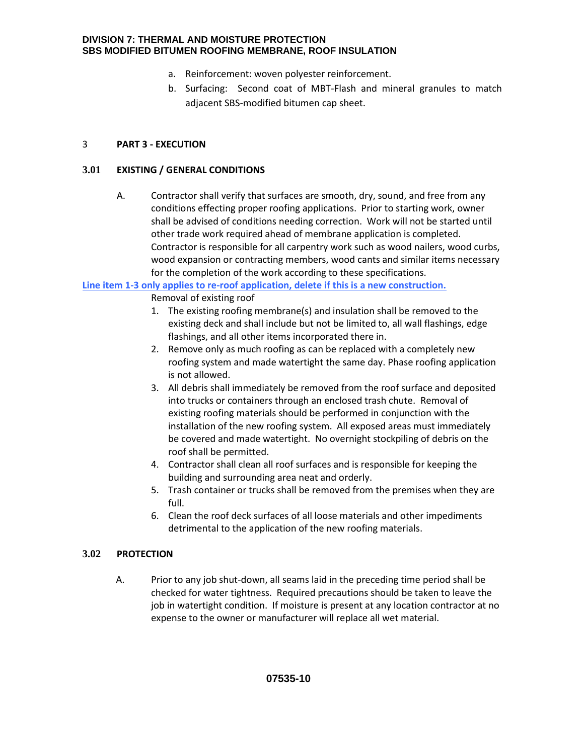- a. Reinforcement: woven polyester reinforcement.
- b. Surfacing: Second coat of MBT-Flash and mineral granules to match adjacent SBS-modified bitumen cap sheet.

# 3 **PART 3 - EXECUTION**

# **3.01 EXISTING / GENERAL CONDITIONS**

A. Contractor shall verify that surfaces are smooth, dry, sound, and free from any conditions effecting proper roofing applications. Prior to starting work, owner shall be advised of conditions needing correction. Work will not be started until other trade work required ahead of membrane application is completed. Contractor is responsible for all carpentry work such as wood nailers, wood curbs, wood expansion or contracting members, wood cants and similar items necessary for the completion of the work according to these specifications.

**Line item 1-3 only applies to re-roof application, delete if this is a new construction.** 

Removal of existing roof

- 1. The existing roofing membrane(s) and insulation shall be removed to the existing deck and shall include but not be limited to, all wall flashings, edge flashings, and all other items incorporated there in.
- 2. Remove only as much roofing as can be replaced with a completely new roofing system and made watertight the same day. Phase roofing application is not allowed.
- 3. All debris shall immediately be removed from the roof surface and deposited into trucks or containers through an enclosed trash chute. Removal of existing roofing materials should be performed in conjunction with the installation of the new roofing system. All exposed areas must immediately be covered and made watertight. No overnight stockpiling of debris on the roof shall be permitted.
- 4. Contractor shall clean all roof surfaces and is responsible for keeping the building and surrounding area neat and orderly.
- 5. Trash container or trucks shall be removed from the premises when they are full.
- 6. Clean the roof deck surfaces of all loose materials and other impediments detrimental to the application of the new roofing materials.

# **3.02 PROTECTION**

A. Prior to any job shut-down, all seams laid in the preceding time period shall be checked for water tightness. Required precautions should be taken to leave the job in watertight condition. If moisture is present at any location contractor at no expense to the owner or manufacturer will replace all wet material.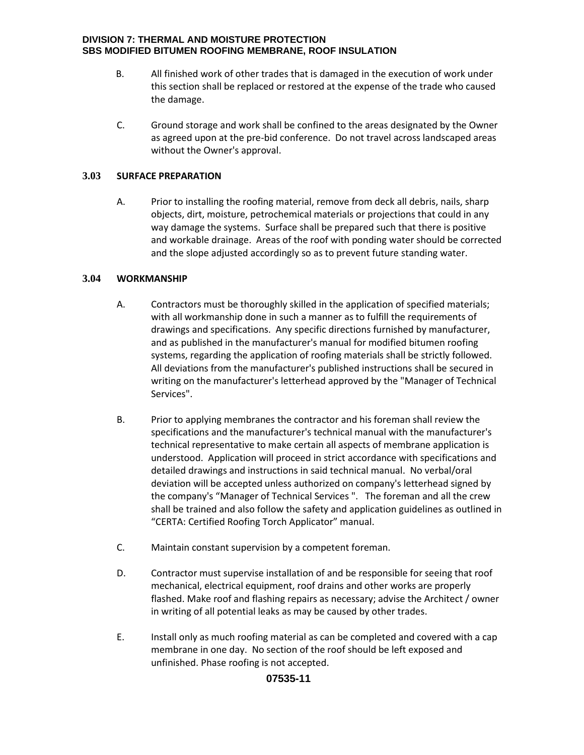- B. All finished work of other trades that is damaged in the execution of work under this section shall be replaced or restored at the expense of the trade who caused the damage.
- C. Ground storage and work shall be confined to the areas designated by the Owner as agreed upon at the pre-bid conference. Do not travel across landscaped areas without the Owner's approval.

## **3.03 SURFACE PREPARATION**

A. Prior to installing the roofing material, remove from deck all debris, nails, sharp objects, dirt, moisture, petrochemical materials or projections that could in any way damage the systems. Surface shall be prepared such that there is positive and workable drainage. Areas of the roof with ponding water should be corrected and the slope adjusted accordingly so as to prevent future standing water.

# **3.04 WORKMANSHIP**

- A. Contractors must be thoroughly skilled in the application of specified materials; with all workmanship done in such a manner as to fulfill the requirements of drawings and specifications. Any specific directions furnished by manufacturer, and as published in the manufacturer's manual for modified bitumen roofing systems, regarding the application of roofing materials shall be strictly followed. All deviations from the manufacturer's published instructions shall be secured in writing on the manufacturer's letterhead approved by the "Manager of Technical Services".
- B. Prior to applying membranes the contractor and his foreman shall review the specifications and the manufacturer's technical manual with the manufacturer's technical representative to make certain all aspects of membrane application is understood. Application will proceed in strict accordance with specifications and detailed drawings and instructions in said technical manual. No verbal/oral deviation will be accepted unless authorized on company's letterhead signed by the company's "Manager of Technical Services ". The foreman and all the crew shall be trained and also follow the safety and application guidelines as outlined in "CERTA: Certified Roofing Torch Applicator" manual.
- C. Maintain constant supervision by a competent foreman.
- D. Contractor must supervise installation of and be responsible for seeing that roof mechanical, electrical equipment, roof drains and other works are properly flashed. Make roof and flashing repairs as necessary; advise the Architect / owner in writing of all potential leaks as may be caused by other trades.
- E. Install only as much roofing material as can be completed and covered with a cap membrane in one day. No section of the roof should be left exposed and unfinished. Phase roofing is not accepted.

# **07535-11**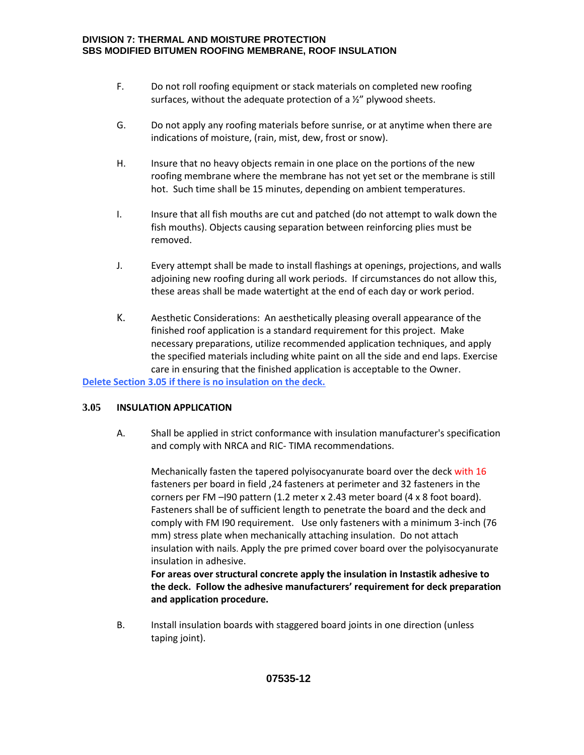- F. Do not roll roofing equipment or stack materials on completed new roofing surfaces, without the adequate protection of a ½" plywood sheets.
- G. Do not apply any roofing materials before sunrise, or at anytime when there are indications of moisture, (rain, mist, dew, frost or snow).
- H. Insure that no heavy objects remain in one place on the portions of the new roofing membrane where the membrane has not yet set or the membrane is still hot. Such time shall be 15 minutes, depending on ambient temperatures.
- I. Insure that all fish mouths are cut and patched (do not attempt to walk down the fish mouths). Objects causing separation between reinforcing plies must be removed.
- J. Every attempt shall be made to install flashings at openings, projections, and walls adjoining new roofing during all work periods. If circumstances do not allow this, these areas shall be made watertight at the end of each day or work period.
- K. Aesthetic Considerations: An aesthetically pleasing overall appearance of the finished roof application is a standard requirement for this project. Make necessary preparations, utilize recommended application techniques, and apply the specified materials including white paint on all the side and end laps. Exercise care in ensuring that the finished application is acceptable to the Owner.

**Delete Section 3.05 if there is no insulation on the deck.** 

## **3.05 INSULATION APPLICATION**

A. Shall be applied in strict conformance with insulation manufacturer's specification and comply with NRCA and RIC- TIMA recommendations.

Mechanically fasten the tapered polyisocyanurate board over the deck with 16 fasteners per board in field ,24 fasteners at perimeter and 32 fasteners in the corners per FM -I90 pattern (1.2 meter x 2.43 meter board (4 x 8 foot board). Fasteners shall be of sufficient length to penetrate the board and the deck and comply with FM I90 requirement. Use only fasteners with a minimum 3-inch (76 mm) stress plate when mechanically attaching insulation. Do not attach insulation with nails. Apply the pre primed cover board over the polyisocyanurate insulation in adhesive. **For areas over structural concrete apply the insulation in Instastik adhesive to** 

**the deck. Follow the adhesive manufacturers' requirement for deck preparation and application procedure.** 

B. Install insulation boards with staggered board joints in one direction (unless taping joint).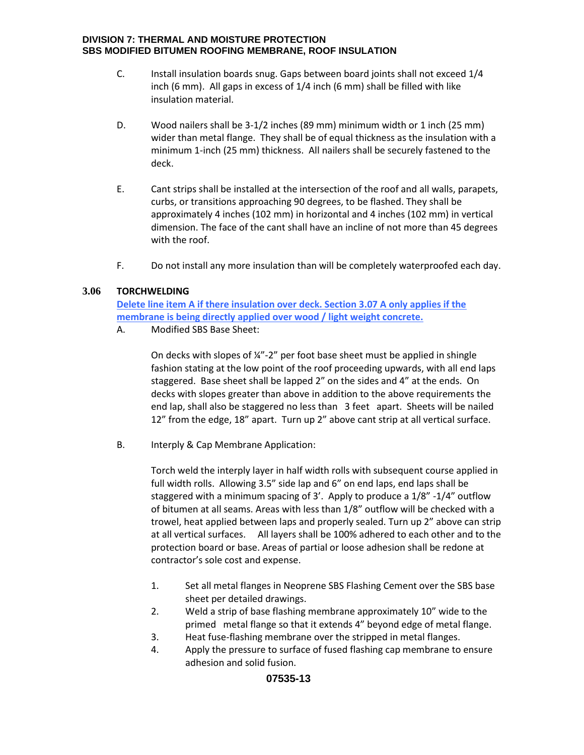- C. Install insulation boards snug. Gaps between board joints shall not exceed 1/4 inch (6 mm). All gaps in excess of 1/4 inch (6 mm) shall be filled with like insulation material.
- D. Wood nailers shall be 3-1/2 inches (89 mm) minimum width or 1 inch (25 mm) wider than metal flange. They shall be of equal thickness as the insulation with a minimum 1-inch (25 mm) thickness. All nailers shall be securely fastened to the deck.
- E. Cant strips shall be installed at the intersection of the roof and all walls, parapets, curbs, or transitions approaching 90 degrees, to be flashed. They shall be approximately 4 inches (102 mm) in horizontal and 4 inches (102 mm) in vertical dimension. The face of the cant shall have an incline of not more than 45 degrees with the roof.
- F. Do not install any more insulation than will be completely waterproofed each day.

## **3.06 TORCHWELDING**

**Delete line item A if there insulation over deck. Section 3.07 A only applies if the membrane is being directly applied over wood / light weight concrete.** 

A. Modified SBS Base Sheet:

On decks with slopes of  $\frac{1}{2}$ " per foot base sheet must be applied in shingle fashion stating at the low point of the roof proceeding upwards, with all end laps staggered. Base sheet shall be lapped 2" on the sides and 4" at the ends. On decks with slopes greater than above in addition to the above requirements the end lap, shall also be staggered no less than 3 feet apart. Sheets will be nailed 12" from the edge, 18" apart. Turn up 2" above cant strip at all vertical surface.

B. Interply & Cap Membrane Application:

Torch weld the interply layer in half width rolls with subsequent course applied in full width rolls. Allowing 3.5" side lap and 6" on end laps, end laps shall be staggered with a minimum spacing of 3'. Apply to produce a 1/8" -1/4" outflow of bitumen at all seams. Areas with less than 1/8" outflow will be checked with a trowel, heat applied between laps and properly sealed. Turn up 2" above can strip at all vertical surfaces. All layers shall be 100% adhered to each other and to the protection board or base. Areas of partial or loose adhesion shall be redone at contractor's sole cost and expense.

- 1. Set all metal flanges in Neoprene SBS Flashing Cement over the SBS base sheet per detailed drawings.
- 2. Weld a strip of base flashing membrane approximately 10" wide to the primed metal flange so that it extends 4" beyond edge of metal flange.
- 3. Heat fuse-flashing membrane over the stripped in metal flanges.
- 4. Apply the pressure to surface of fused flashing cap membrane to ensure adhesion and solid fusion.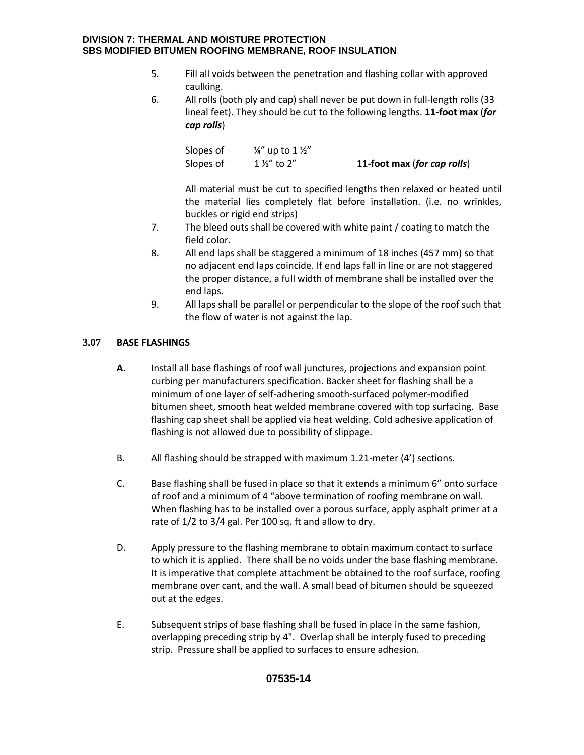- 5. Fill all voids between the penetration and flashing collar with approved caulking.
- 6. All rolls (both ply and cap) shall never be put down in full-length rolls (33 lineal feet). They should be cut to the following lengths. **11-foot max** (*for cap rolls*)

| Slopes of | $\frac{1}{4}$ " up to 1 $\frac{1}{2}$ " |                             |
|-----------|-----------------------------------------|-----------------------------|
| Slopes of | $1\frac{1}{2}$ to 2"                    | 11-foot max (for cap rolls) |

All material must be cut to specified lengths then relaxed or heated until the material lies completely flat before installation. (i.e. no wrinkles, buckles or rigid end strips)

- 7. The bleed outs shall be covered with white paint / coating to match the field color.
- 8. All end laps shall be staggered a minimum of 18 inches (457 mm) so that no adjacent end laps coincide. If end laps fall in line or are not staggered the proper distance, a full width of membrane shall be installed over the end laps.
- 9. All laps shall be parallel or perpendicular to the slope of the roof such that the flow of water is not against the lap.

# **3.07 BASE FLASHINGS**

- **A.** Install all base flashings of roof wall junctures, projections and expansion point curbing per manufacturers specification. Backer sheet for flashing shall be a minimum of one layer of self-adhering smooth-surfaced polymer-modified bitumen sheet, smooth heat welded membrane covered with top surfacing. Base flashing cap sheet shall be applied via heat welding. Cold adhesive application of flashing is not allowed due to possibility of slippage.
- B. All flashing should be strapped with maximum 1.21-meter (4') sections.
- C. Base flashing shall be fused in place so that it extends a minimum 6" onto surface of roof and a minimum of 4 "above termination of roofing membrane on wall. When flashing has to be installed over a porous surface, apply asphalt primer at a rate of 1/2 to 3/4 gal. Per 100 sq. ft and allow to dry.
- D. Apply pressure to the flashing membrane to obtain maximum contact to surface to which it is applied. There shall be no voids under the base flashing membrane. It is imperative that complete attachment be obtained to the roof surface, roofing membrane over cant, and the wall. A small bead of bitumen should be squeezed out at the edges.
- E. Subsequent strips of base flashing shall be fused in place in the same fashion, overlapping preceding strip by 4". Overlap shall be interply fused to preceding strip. Pressure shall be applied to surfaces to ensure adhesion.

# **07535-14**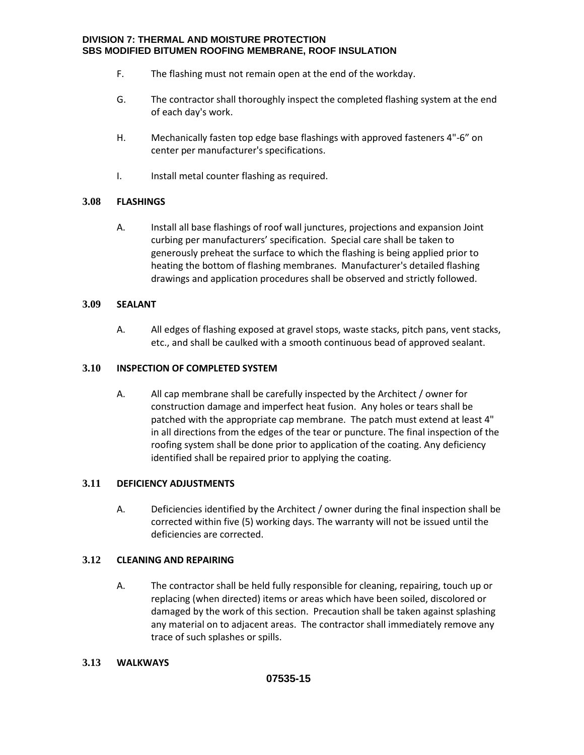- F. The flashing must not remain open at the end of the workday.
- G. The contractor shall thoroughly inspect the completed flashing system at the end of each day's work.
- H. Mechanically fasten top edge base flashings with approved fasteners 4"-6" on center per manufacturer's specifications.
- I. Install metal counter flashing as required.

## **3.08 FLASHINGS**

A. Install all base flashings of roof wall junctures, projections and expansion Joint curbing per manufacturers' specification. Special care shall be taken to generously preheat the surface to which the flashing is being applied prior to heating the bottom of flashing membranes. Manufacturer's detailed flashing drawings and application procedures shall be observed and strictly followed.

## **3.09 SEALANT**

A. All edges of flashing exposed at gravel stops, waste stacks, pitch pans, vent stacks, etc., and shall be caulked with a smooth continuous bead of approved sealant.

## **3.10 INSPECTION OF COMPLETED SYSTEM**

A. All cap membrane shall be carefully inspected by the Architect / owner for construction damage and imperfect heat fusion. Any holes or tears shall be patched with the appropriate cap membrane. The patch must extend at least 4" in all directions from the edges of the tear or puncture. The final inspection of the roofing system shall be done prior to application of the coating. Any deficiency identified shall be repaired prior to applying the coating.

## **3.11 DEFICIENCY ADJUSTMENTS**

A. Deficiencies identified by the Architect / owner during the final inspection shall be corrected within five (5) working days. The warranty will not be issued until the deficiencies are corrected.

## **3.12 CLEANING AND REPAIRING**

A. The contractor shall be held fully responsible for cleaning, repairing, touch up or replacing (when directed) items or areas which have been soiled, discolored or damaged by the work of this section. Precaution shall be taken against splashing any material on to adjacent areas. The contractor shall immediately remove any trace of such splashes or spills.

## **3.13 WALKWAYS**